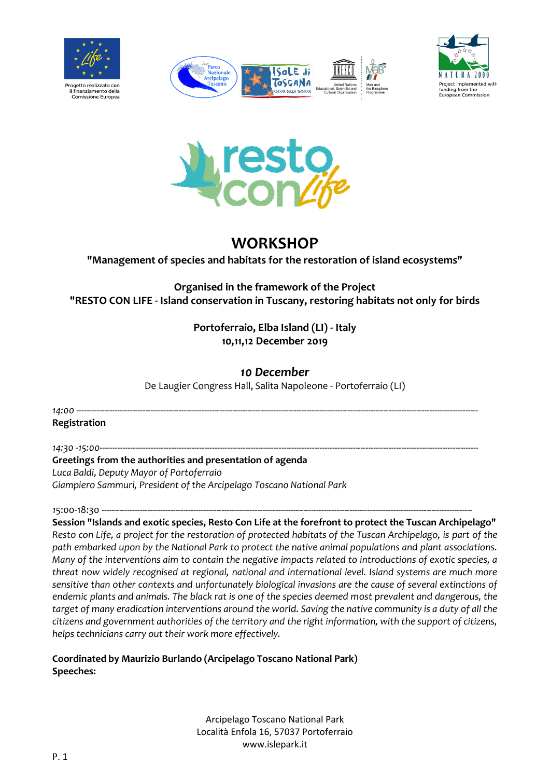







# **WORKSHOP**

### **"Management of species and habitats for the restoration of island ecosystems"**

**Organised in the framework of the Project "RESTO CON LIFE - Island conservation in Tuscany, restoring habitats not only for birds**

## **Portoferraio, Elba Island (LI) - Italy 10,11,12 December 2019**

# *10 December*

De Laugier Congress Hall, Salita Napoleone - Portoferraio (LI)

*14:00* ------------------------------------------------------------------------------------------------------------------------------------------------------------- **Registration** 

*14:30 -15:00----------------------------------------------------------------------------------------------------------------------------------------------------*

### **Greetings from the authorities and presentation of agenda**

*Luca Baldi, Deputy Mayor of Portoferraio Giampiero Sammuri, President of the Arcipelago Toscano National Park*

15:00-18:30 --

**Session "Islands and exotic species, Resto Con Life at the forefront to protect the Tuscan Archipelago"** *Resto con Life, a project for the restoration of protected habitats of the Tuscan Archipelago, is part of the path embarked upon by the National Park to protect the native animal populations and plant associations. Many of the interventions aim to contain the negative impacts related to introductions of exotic species, a threat now widely recognised at regional, national and international level. Island systems are much more sensitive than other contexts and unfortunately biological invasions are the cause of several extinctions of endemic plants and animals. The black rat is one of the species deemed most prevalent and dangerous, the target of many eradication interventions around the world. Saving the native community is a duty of all the citizens and government authorities of the territory and the right information, with the support of citizens, helps technicians carry out their work more effectively.* 

**Coordinated by Maurizio Burlando (Arcipelago Toscano National Park) Speeches:**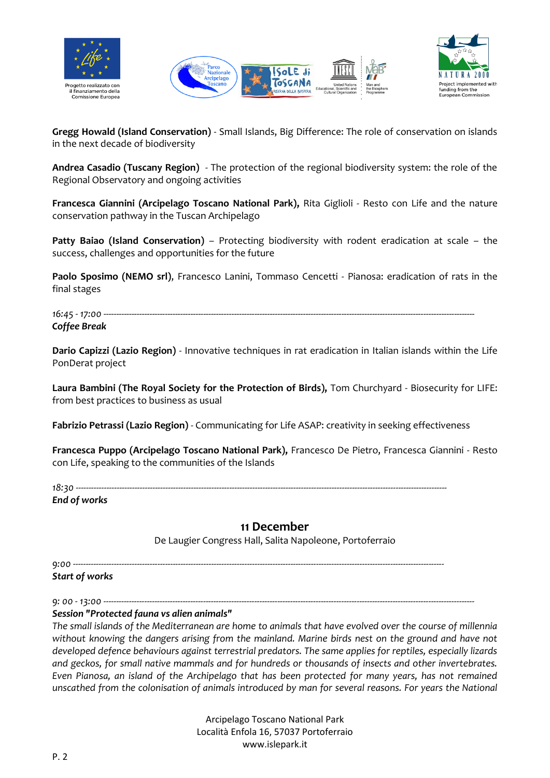





**Gregg Howald (Island Conservation)** - Small Islands, Big Difference: The role of conservation on islands in the next decade of biodiversity

**Andrea Casadio (Tuscany Region)** - The protection of the regional biodiversity system: the role of the Regional Observatory and ongoing activities

**Francesca Giannini (Arcipelago Toscano National Park),** Rita Giglioli - Resto con Life and the nature conservation pathway in the Tuscan Archipelago

**Patty Baiao (Island Conservation)** – Protecting biodiversity with rodent eradication at scale – the success, challenges and opportunities for the future

**Paolo Sposimo (NEMO srl)**, Francesco Lanini, Tommaso Cencetti - Pianosa: eradication of rats in the final stages

16:45 - 17:00 ----*Coffee Break*

**Dario Capizzi (Lazio Region)** - Innovative techniques in rat eradication in Italian islands within the Life PonDerat project

**Laura Bambini (The Royal Society for the Protection of Birds),** Tom Churchyard - Biosecurity for LIFE: from best practices to business as usual

**Fabrizio Petrassi (Lazio Region)** - Communicating for Life ASAP: creativity in seeking effectiveness

**Francesca Puppo (Arcipelago Toscano National Park),** Francesco De Pietro, Francesca Giannini - Resto con Life, speaking to the communities of the Islands

*18:30 -------------------------------------------------------------------------------------------------------------------------------------------------*

*End of works*

## **11 December**

De Laugier Congress Hall, Salita Napoleone, Portoferraio

*9:00 -------------------------------------------------------------------------------------------------------------------------------------------------*

*Start of works*

*9: 00 - 13:00 ------------------------------------------------------------------------------------------------------------------------------------------------- Session "Protected fauna vs alien animals"*

*The small islands of the Mediterranean are home to animals that have evolved over the course of millennia without knowing the dangers arising from the mainland. Marine birds nest on the ground and have not developed defence behaviours against terrestrial predators. The same applies for reptiles, especially lizards and geckos, for small native mammals and for hundreds or thousands of insects and other invertebrates. Even Pianosa, an island of the Archipelago that has been protected for many years, has not remained unscathed from the colonisation of animals introduced by man for several reasons. For years the National*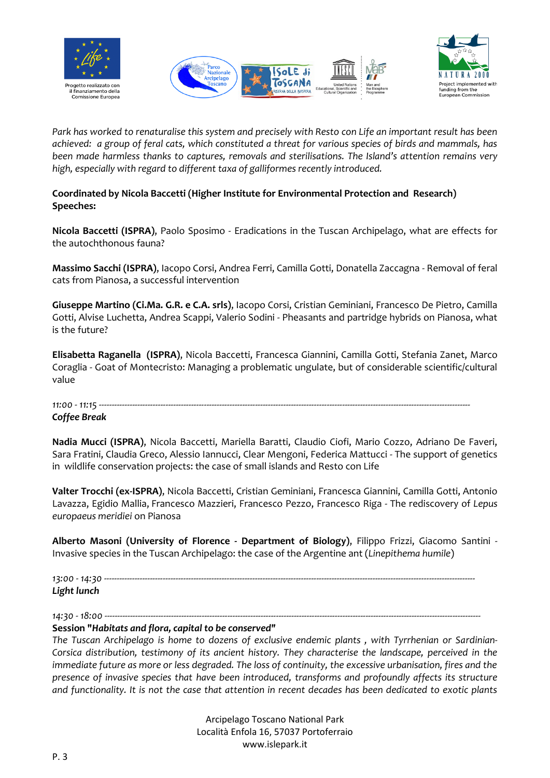





*Park has worked to renaturalise this system and precisely with Resto con Life an important result has been achieved: a group of feral cats, which constituted a threat for various species of birds and mammals, has been made harmless thanks to captures, removals and sterilisations. The Island's attention remains very high, especially with regard to different taxa of galliformes recently introduced.*

#### **Coordinated by Nicola Baccetti (Higher Institute for Environmental Protection and Research) Speeches:**

**Nicola Baccetti (ISPRA)**, Paolo Sposimo - Eradications in the Tuscan Archipelago, what are effects for the autochthonous fauna?

**Massimo Sacchi (ISPRA)**, Iacopo Corsi, Andrea Ferri, Camilla Gotti, Donatella Zaccagna - Removal of feral cats from Pianosa, a successful intervention

**Giuseppe Martino (Ci.Ma. G.R. e C.A. srls)**, Iacopo Corsi, Cristian Geminiani, Francesco De Pietro, Camilla Gotti, Alvise Luchetta, Andrea Scappi, Valerio Sodini - Pheasants and partridge hybrids on Pianosa, what is the future?

**Elisabetta Raganella (ISPRA)**, Nicola Baccetti, Francesca Giannini, Camilla Gotti, Stefania Zanet, Marco Coraglia - Goat of Montecristo: Managing a problematic ungulate, but of considerable scientific/cultural value

# *11:00 - 11:15 -------------------------------------------------------------------------------------------------------------------------------------------------*

#### *Coffee Break*

**Nadia Mucci (ISPRA)**, Nicola Baccetti, Mariella Baratti, Claudio Ciofi, Mario Cozzo, Adriano De Faveri, Sara Fratini, Claudia Greco, Alessio Iannucci, Clear Mengoni, Federica Mattucci - The support of genetics in wildlife conservation projects: the case of small islands and Resto con Life

**Valter Trocchi (ex-ISPRA)**, Nicola Baccetti, Cristian Geminiani, Francesca Giannini, Camilla Gotti, Antonio Lavazza, Egidio Mallia, Francesco Mazzieri, Francesco Pezzo, Francesco Riga - The rediscovery of *Lepus europaeus meridiei* on Pianosa

**Alberto Masoni (University of Florence - Department of Biology)**, Filippo Frizzi, Giacomo Santini - Invasive species in the Tuscan Archipelago: the case of the Argentine ant (*Linepithema humile*)

*13:00 - 14:30 ------------------------------------------------------------------------------------------------------------------------------------------------- Light lunch*

*14:30 - 18:00 ---------------------------------------------------------------------------------------------------------------------------------------------------*

#### **Session "***Habitats and flora, capital to be conserved"*

*The Tuscan Archipelago is home to dozens of exclusive endemic plants , with Tyrrhenian or Sardinian-Corsica distribution, testimony of its ancient history. They characterise the landscape, perceived in the immediate future as more or less degraded. The loss of continuity, the excessive urbanisation, fires and the presence of invasive species that have been introduced, transforms and profoundly affects its structure and functionality. It is not the case that attention in recent decades has been dedicated to exotic plants*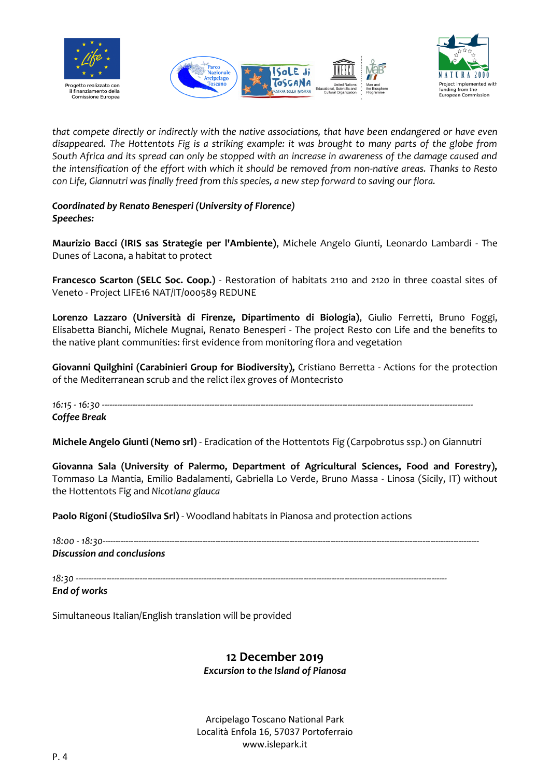





*that compete directly or indirectly with the native associations, that have been endangered or have even disappeared. The Hottentots Fig is a striking example: it was brought to many parts of the globe from South Africa and its spread can only be stopped with an increase in awareness of the damage caused and the intensification of the effort with which it should be removed from non-native areas. Thanks to Resto con Life, Giannutri was finally freed from this species, a new step forward to saving our flora.* 

*Coordinated by Renato Benesperi (University of Florence) Speeches:*

**Maurizio Bacci (IRIS sas Strategie per l'Ambiente)**, Michele Angelo Giunti, Leonardo Lambardi - The Dunes of Lacona, a habitat to protect

**Francesco Scarton (SELC Soc. Coop.)** - Restoration of habitats 2110 and 2120 in three coastal sites of Veneto - Project LIFE16 NAT/IT/000589 REDUNE

**Lorenzo Lazzaro (Università di Firenze, Dipartimento di Biologia)**, Giulio Ferretti, Bruno Foggi, Elisabetta Bianchi, Michele Mugnai, Renato Benesperi - The project Resto con Life and the benefits to the native plant communities: first evidence from monitoring flora and vegetation

**Giovanni Quilghini (Carabinieri Group for Biodiversity),** Cristiano Berretta - Actions for the protection of the Mediterranean scrub and the relict ilex groves of Montecristo

*16:15 - 16:30 ------------------------------------------------------------------------------------------------------------------------------------------------- Coffee Break*

**Michele Angelo Giunti (Nemo srl)** - Eradication of the Hottentots Fig (Carpobrotus ssp.) on Giannutri

**Giovanna Sala (University of Palermo, Department of Agricultural Sciences, Food and Forestry),** Tommaso La Mantia, Emilio Badalamenti, Gabriella Lo Verde, Bruno Massa - Linosa (Sicily, IT) without the Hottentots Fig and *Nicotiana glauca*

**Paolo Rigoni (StudioSilva Srl)** - Woodland habitats in Pianosa and protection actions

*18:00 - 18:30--------------------------------------------------------------------------------------------------------------------------------------------------- Discussion and conclusions*

*18:30 -------------------------------------------------------------------------------------------------------------------------------------------------*

*End of works*

Simultaneous Italian/English translation will be provided

# **12 December 2019**

*Excursion to the Island of Pianosa*